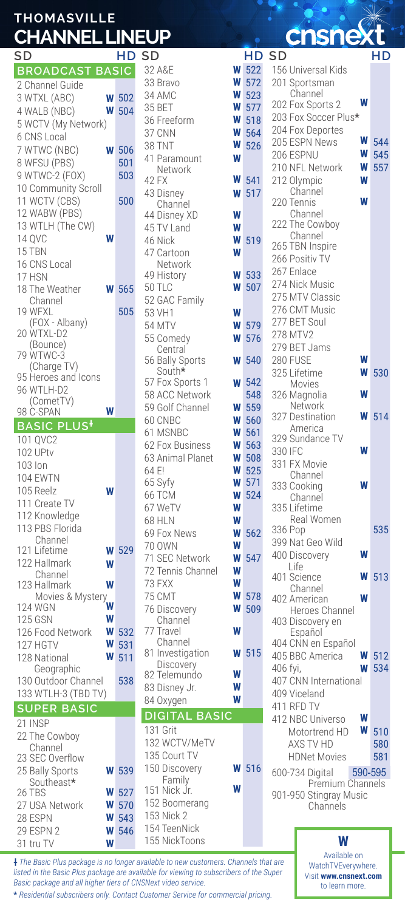## **THOMASVILLE CHANNEL LINEUP**

| שכ                             | пv         |
|--------------------------------|------------|
| <b>BROADCAST BASIC</b>         |            |
| 2 Channel Guide                |            |
| 3 WTXL (ABC)<br>W              | 502        |
| W<br>4 WALB (NBC)              | 504        |
|                                |            |
| 5 WCTV (My Network)            |            |
| 6 CNS Local                    |            |
| 7 WTWC (NBC)<br>W              | 506        |
| 8 WFSU (PBS)                   | 501        |
| 9 WTWC-2 (FOX)                 | 503        |
| 10 Community Scroll            |            |
| 11 WCTV (CBS)                  |            |
|                                | 500        |
| 12 WABW (PBS)                  |            |
| 13 WTLH (The CW)               |            |
| 14 QVC                         |            |
| 15 TBN                         |            |
| 16 CNS Local                   |            |
| 17 HSN                         |            |
|                                |            |
| 18 The Weather                 | 565        |
| Channel                        |            |
| 19 WFXL                        | 505        |
| (FOX - Albany)                 |            |
| 20 WTXL-D2                     |            |
| (Bounce)                       |            |
| 79 WTWC-3                      |            |
| (Charge TV)                    |            |
| 95 Heroes and Icons            |            |
| 96 WTLH-D2                     |            |
| (CometTV)                      |            |
| 98 C-SPAN                      |            |
| BASIC PLUS <sup>+</sup>        |            |
| 101 QVC2                       |            |
| 102 UPtv                       |            |
|                                |            |
|                                |            |
| 103 Ion                        |            |
| <b>104 EWTN</b>                |            |
| 105 Reelz                      |            |
|                                |            |
| 111 Create TV                  |            |
| 112 Knowledge                  |            |
| 113 PBS Florida                |            |
| Channel                        |            |
| 121 Lifetime<br>W              | 529        |
| 122 Hallmark<br>W              |            |
| Channel                        |            |
| W<br>123 Hallmark              |            |
| Movies & Mystery               |            |
| W<br><b>124 WGN</b>            |            |
| W<br>125 GSN                   |            |
| W<br>126 Food Network          |            |
| W                              | 532        |
| 127 HGTV<br>W                  | 531        |
| 128 National                   | 511        |
| Geographic                     |            |
| 130 Outdoor Channel            | 538        |
| 133 WTLH-3 (TBD TV)            |            |
| <b>SUPER BASIC</b>             |            |
| 21 INSP                        |            |
|                                |            |
| 22 The Cowboy                  |            |
| Channel                        |            |
| 23 SEC Overflow                |            |
| 25 Bally Sports<br>W           | 539        |
| Southeast*                     |            |
| 26 TBS<br>W                    | 527        |
| 27 USA Network<br>W            | 570        |
| 28 ESPN<br>W<br>29 ESPN 2<br>W | 543<br>546 |

| $\sim$                        |   |     |
|-------------------------------|---|-----|
| SD                            |   | HD  |
| 32 A&E                        | W | 522 |
| 33 Bravo                      | W | 572 |
| 34 AMC                        | W | 523 |
|                               | W |     |
| 35 BET                        |   | 577 |
| 36 Freeform                   | W | 518 |
| 37 CNN                        | W | 564 |
| 38 TNT                        | W | 526 |
| 41 Paramount                  | W |     |
| Network                       |   |     |
| 42 FX                         | W | 541 |
| 43 Disney                     | W | 517 |
| Channel                       |   |     |
| 44 Disney XD                  | W |     |
| 45 TV Land                    | W |     |
| 46 Nick                       | W | 519 |
| 47 Cartoon                    | W |     |
|                               |   |     |
| Network                       | W | 533 |
| 49 History                    |   |     |
| <b>50 TLC</b>                 | W | 507 |
| 52 GAC Family                 |   |     |
| 53 VH1                        | W |     |
| 54 MTV                        | W | 579 |
| 55 Comedy                     | W | 576 |
| Central                       |   |     |
| 56 Bally Sports               | W | 540 |
| South*                        |   |     |
| 57 Fox Sports 1               | W | 542 |
| 58 ACC Network                |   | 548 |
| 59 Golf Channel               | W | 559 |
| 60 CNBC                       | W | 560 |
|                               |   |     |
| 61 MSNBC                      | W | 561 |
| 62 Fox Business               | W | 563 |
| 63 Animal Planet              | W | 508 |
| 64 E!                         | W | 525 |
| 65 Syfy                       | W | 571 |
| 66 TCM                        | W | 524 |
| 67 WeTV                       | W |     |
| 68 HLN                        | W |     |
|                               | W |     |
| 69 Fox News                   |   | 562 |
| 70 OWN                        | W |     |
| 71 SEC Network                | W | 547 |
| 72 Tennis Channel             | W |     |
| 73 FXX                        | W |     |
|                               |   |     |
| 75 CMT                        | W | 578 |
|                               |   |     |
| 76 Discovery                  | W | 509 |
| Channel<br>77 Travel          | W |     |
|                               |   |     |
| Channel                       |   |     |
| 81 Investigation              | W | 515 |
| Discovery                     | W |     |
| 82 Telemundo                  |   |     |
| 83 Disney Jr.                 | W |     |
| 84 Oxygen                     | W |     |
| <b>DIGITAL BASIC</b>          |   |     |
| 131 Grit                      |   |     |
| 132 WCTV/MeTV                 |   |     |
| 135 Court TV                  |   |     |
|                               | W | 516 |
| 150 Discovery<br>Family       |   |     |
| 151 Nick Jr.                  | W |     |
|                               |   |     |
| 152 Boomerang                 |   |     |
| 153 Nick 2                    |   |     |
| 154 TeenNick<br>155 NickToons |   |     |

**†** *The Basic Plus package is no longer available to new customers. Channels that are listed in the Basic Plus package are available for viewing to subscribers of the Super Basic package and all higher tiers of CNSNext video service.*

**\*** *Residential subscribers only. Contact Customer Service for commercial pricing.*

**W**

31 tru TV

#### **Insr rex**

| SD                            | HD SD        |                               |        |              | <b>HD SD</b>                               | НD         |
|-------------------------------|--------------|-------------------------------|--------|--------------|--------------------------------------------|------------|
| <b>BROADCAST BASIC</b>        |              | 32 A&E                        |        | $W$ 522      | 156 Universal Kids                         |            |
| 2 Channel Guide               |              | 33 Bravo                      | W      | 572          | 201 Sportsman                              |            |
| 3 WTXL (ABC)<br>W             | 502          | 34 AMC                        | W      | 523          | Channel<br>W                               |            |
| W<br>4 WALB (NBC)             | 504          | 35 BET                        | W      | 577          | 202 Fox Sports 2                           |            |
| 5 WCTV (My Network)           |              | 36 Freeform                   | W      | 518          | 203 Fox Soccer Plus*                       |            |
| 6 CNS Local                   |              | 37 CNN                        | W      | 564          | 204 Fox Deportes<br>W                      |            |
| 7 WTWC (NBC)<br>W             | 506          | <b>38 TNT</b>                 | W      | 526          | 205 ESPN News<br>W                         | 544<br>545 |
| 8 WFSU (PBS)                  | 501          | 41 Paramount                  | W      |              | 206 ESPNU<br>W<br>210 NFL Network          | 557        |
| 9 WTWC-2 (FOX)                | 503          | Network<br>42 FX              | W      | 541          | W<br>212 Olympic                           |            |
| 10 Community Scroll           |              | 43 Disney                     | W      | 517          | Channel                                    |            |
| 11 WCTV (CBS)                 | 500          | Channel                       |        |              | W<br>220 Tennis                            |            |
| 12 WABW (PBS)                 |              | 44 Disney XD                  | W      |              | Channel                                    |            |
| 13 WTLH (The CW)              |              | 45 TV Land                    | W      |              | 222 The Cowboy                             |            |
| W<br>14 QVC                   |              | 46 Nick                       | W      | 519          | Channel                                    |            |
| 15 TBN                        |              | 47 Cartoon                    | W      |              | 265 TBN Inspire<br>266 Positiv TV          |            |
| 16 CNS Local                  |              | Network                       |        |              | 267 Enlace                                 |            |
| 17 HSN                        |              | 49 History                    | W      | 533          | 274 Nick Music                             |            |
| 18 The Weather                | <b>W</b> 565 | <b>50 TLC</b>                 | W      | 507          | 275 MTV Classic                            |            |
| Channel                       |              | 52 GAC Family                 |        |              | 276 CMT Music                              |            |
| 19 WFXL<br>(FOX - Albany)     | 505          | 53 VH1                        | W      |              | 277 BET Soul                               |            |
| 20 WTXL-D2                    |              | <b>54 MTV</b>                 | W      | 579          | 278 MTV2                                   |            |
| (Bounce)                      |              | 55 Comedy<br>Central          | W      | 576          | 279 BET Jams                               |            |
| 79 WTWC-3                     |              | 56 Bally Sports               | W      | 540          | W<br>280 FUSE                              |            |
| (Charge TV)                   |              | South*                        |        |              | 325 Lifetime<br>W                          | 530        |
| 95 Heroes and Icons           |              | 57 Fox Sports 1               | W      | 542          | Movies                                     |            |
| 96 WTLH-D2<br>(CometTV)       |              | 58 ACC Network                |        | 548          | W<br>326 Magnolia                          |            |
| W<br>98 C-SPAN                |              | 59 Golf Channel               | W      | 559          | Network                                    |            |
| <b>BASIC PLUS<sup>+</sup></b> |              | 60 CNBC                       | W      | 560          | W<br>327 Destination<br>America            | 514        |
| 101 QVC2                      |              | 61 MSNBC                      | W      | 561          | 329 Sundance TV                            |            |
| 102 UPtv                      |              | 62 Fox Business               | W      | 563          | W<br>330 IFC                               |            |
| 103 lon                       |              | 63 Animal Planet              | W      | 508          | 331 FX Movie                               |            |
| <b>104 EWTN</b>               |              | 64 E!                         | W      | 525          | Channel                                    |            |
| 105 Reelz<br>W                |              | 65 Syfy                       | W      | 571          | W<br>333 Cooking                           |            |
| 111 Create TV                 |              | <b>66 TCM</b>                 | W      | 524          | Channel                                    |            |
| 112 Knowledge                 |              | 67 WeTV                       | W      |              | 335 Lifetime<br>Real Women                 |            |
| 113 PBS Florida               |              | <b>68 HLN</b><br>69 Fox News  | W<br>W | 562          | 336 Pop                                    | 535        |
| Channel                       |              | 70 OWN                        | W      |              | 399 Nat Geo Wild                           |            |
| 121 Lifetime                  | <b>W</b> 529 | 71 SEC Network                | W      | 547          | W<br>400 Discovery                         |            |
| 122 Hallmark<br>W             |              | 72 Tennis Channel             | W      |              | Life                                       |            |
| Channel<br>W<br>123 Hallmark  |              | 73 FXX                        | W      |              | 401 Science<br>W                           | 513        |
| Movies & Mystery              |              | 75 CMT                        | W      | 578          | Channel<br>W<br>402 American               |            |
| W<br><b>124 WGN</b>           |              | 76 Discovery                  | W      | 509          | Heroes Channel                             |            |
| W<br><b>125 GSN</b>           |              | Channel                       |        |              | 403 Discovery en                           |            |
| W<br>126 Food Network         | 532          | 77 Travel                     | W      |              | Español                                    |            |
| W<br>127 HGTV                 | 531          | Channel                       |        |              | 404 CNN en Español                         |            |
| W<br>128 National             | 511          | 81 Investigation<br>Discovery |        | <b>W</b> 515 | 405 BBC America<br>W                       | 512        |
| Geographic                    |              | 82 Telemundo                  | W      |              | W<br>406 fyi,                              | 534        |
| 130 Outdoor Channel           | 538          | 83 Disney Jr.                 | W      |              | 407 CNN International                      |            |
| 133 WTLH-3 (TBD TV)           |              | 84 Oxygen                     | W      |              | 409 Viceland                               |            |
| <b>SUPER BASIC</b>            |              | <b>DIGITAL BASIC</b>          |        |              | 411 RFD TV                                 |            |
| 21 INSP                       |              |                               |        |              | W<br>412 NBC Universo                      |            |
| 22 The Cowboy                 |              | 131 Grit<br>132 WCTV/MeTV     |        |              | W<br>Motortrend HD                         | 510        |
| Channel                       |              | 135 Court TV                  |        |              | AXS TV HD<br><b>HDNet Movies</b>           | 580        |
| 23 SEC Overflow               |              | 150 Discovery                 |        | <b>W</b> 516 |                                            | 581        |
| 25 Bally Sports<br>Southeast* | <b>W</b> 539 | Family                        |        |              | 600-734 Digital                            | 590-595    |
| 26 TBS<br>W                   | 527          | 151 Nick Jr.                  | W      |              | Premium Channels<br>901-950 Stingray Music |            |
| 27 USA Network                | <b>W</b> 570 | 152 Boomerang                 |        |              | Channels                                   |            |

**W**

Available on WatchTVEverywhere. Visit **www.cnsnext.com** to learn more.